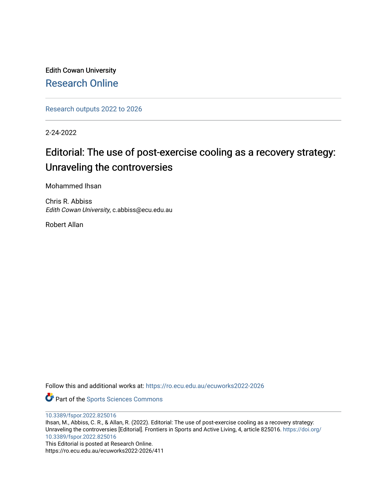Edith Cowan University [Research Online](https://ro.ecu.edu.au/) 

[Research outputs 2022 to 2026](https://ro.ecu.edu.au/ecuworks2022-2026) 

2-24-2022

## Editorial: The use of post-exercise cooling as a recovery strategy: Unraveling the controversies

Mohammed Ihsan

Chris R. Abbiss Edith Cowan University, c.abbiss@ecu.edu.au

Robert Allan

Follow this and additional works at: [https://ro.ecu.edu.au/ecuworks2022-2026](https://ro.ecu.edu.au/ecuworks2022-2026?utm_source=ro.ecu.edu.au%2Fecuworks2022-2026%2F411&utm_medium=PDF&utm_campaign=PDFCoverPages)

Part of the [Sports Sciences Commons](http://network.bepress.com/hgg/discipline/759?utm_source=ro.ecu.edu.au%2Fecuworks2022-2026%2F411&utm_medium=PDF&utm_campaign=PDFCoverPages) 

[10.3389/fspor.2022.825016](http://dx.doi.org/10.3389/fspor.2022.825016)

Ihsan, M., Abbiss, C. R., & Allan, R. (2022). Editorial: The use of post-exercise cooling as a recovery strategy: Unraveling the controversies [Editorial]. Frontiers in Sports and Active Living, 4, article 825016. [https://doi.org/](https://doi.org/10.3389/fspor.2022.825016) [10.3389/fspor.2022.825016](https://doi.org/10.3389/fspor.2022.825016)

This Editorial is posted at Research Online. https://ro.ecu.edu.au/ecuworks2022-2026/411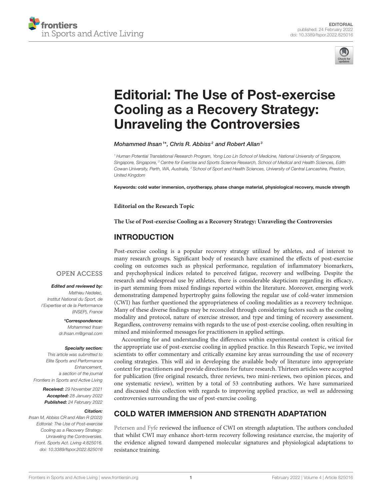



# [Editorial: The Use of Post-exercise](https://www.frontiersin.org/articles/10.3389/fspor.2022.825016/full) Cooling as a Recovery Strategy: Unraveling the Controversies

Mohammed Ihsan<sup>1\*</sup>, Chris R. Abbiss<sup>2</sup> and Robert Allan<sup>3</sup>

*<sup>1</sup> Human Potential Translational Research Program, Yong Loo Lin School of Medicine, National University of Singapore, Singapore, Singapore, <sup>2</sup> Centre for Exercise and Sports Science Research, School of Medical and Health Sciences, Edith Cowan University, Perth, WA, Australia, <sup>3</sup> School of Sport and Health Sciences, University of Central Lancashire, Preston, United Kingdom*

Keywords: cold water immersion, cryotherapy, phase change material, physiological recovery, muscle strength

**Editorial on the Research Topic**

**[The Use of Post-exercise Cooling as a Recovery Strategy: Unraveling the Controversies](https://www.frontiersin.org/research-topics/13825/the-use-of-post-exercise-cooling-as-a-recovery-strategy-unraveling-the-controversies)**

#### INTRODUCTION

#### **OPEN ACCESS**

#### Edited and reviewed by:

*Mathieu Nedelec, Institut National du Sport, de l'Expertise et de la Performance (INSEP), France*

> \*Correspondence: *Mohammed Ihsan [dr.Ihsan.m@gmail.com](mailto:dr.Ihsan.m@gmail.com)*

#### Specialty section:

*This article was submitted to Elite Sports and Performance Enhancement, a section of the journal Frontiers in Sports and Active Living*

> Received: *29 November 2021* Accepted: *28 January 2022* Published: *24 February 2022*

#### Citation:

*Ihsan M, Abbiss CR and Allan R (2022) Editorial: The Use of Post-exercise Cooling as a Recovery Strategy: Unraveling the Controversies. Front. Sports Act. Living 4:825016. doi: [10.3389/fspor.2022.825016](https://doi.org/10.3389/fspor.2022.825016)*

Post-exercise cooling is a popular recovery strategy utilized by athletes, and of interest to many research groups. Significant body of research have examined the effects of post-exercise cooling on outcomes such as physical performance, regulation of inflammatory biomarkers, and psychophysical indices related to perceived fatigue, recovery and wellbeing. Despite the research and widespread use by athletes, there is considerable skepticism regarding its efficacy, in-part stemming from mixed findings reported within the literature. Moreover, emerging work demonstrating dampened hypertrophy gains following the regular use of cold-water immersion (CWI) has further questioned the appropriateness of cooling modalities as a recovery technique. Many of these diverse findings may be reconciled through considering factors such as the cooling modality and protocol, nature of exercise stressor, and type and timing of recovery assessment. Regardless, controversy remains with regards to the use of post-exercise cooling, often resulting in mixed and misinformed messages for practitioners in applied settings.

Accounting for and understanding the differences within experimental context is critical for the appropriate use of post-exercise cooling in applied practice. In this Research Topic, we invited scientists to offer commentary and critically examine key areas surrounding the use of recovery cooling strategies. This will aid in developing the available body of literature into appropriate context for practitioners and provide directions for future research. Thirteen articles were accepted for publication (five original research, three reviews, two mini-reviews, two opinion pieces, and one systematic review), written by a total of 53 contributing authors. We have summarized and discussed this collection with regards to improving applied practice, as well as addressing controversies surrounding the use of post-exercise cooling.

#### COLD WATER IMMERSION AND STRENGTH ADAPTATION

[Petersen and Fyfe](https://doi.org/10.3389/fspor.2021.660291) reviewed the influence of CWI on strength adaptation. The authors concluded that whilst CWI may enhance short-term recovery following resistance exercise, the majority of the evidence aligned toward dampened molecular signatures and physiological adaptations to resistance training.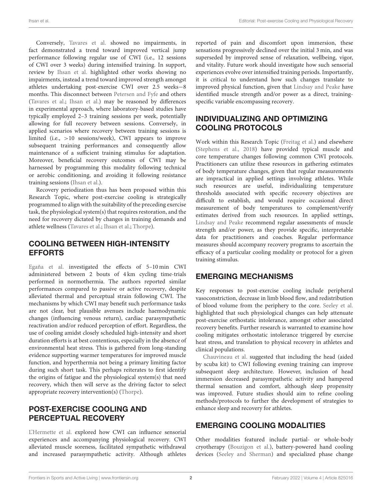Conversely, [Tavares et al.](https://doi.org/10.3389/fspor.2020.568420) showed no impairments, in fact demonstrated a trend toward improved vertical jump performance following regular use of CWI (i.e., 12 sessions of CWI over 3 weeks) during intensified training. In support, review by [Ihsan et al.](https://doi.org/10.3389/fspor.2021.714148) highlighted other works showing no impairments, instead a trend toward improved strength amongst athletes undertaking post-exercise CWI over 2.5 weeks−8 months. This disconnect between [Petersen and Fyfe](https://doi.org/10.3389/fspor.2021.660291) and others [\(Tavares et al.;](https://doi.org/10.3389/fspor.2020.568420) [Ihsan et al.\)](https://doi.org/10.3389/fspor.2021.714148) may be reasoned by differences in experimental approach, where laboratory-based studies have typically employed 2–3 training sessions per week, potentially allowing for full recovery between sessions. Conversely, in applied scenarios where recovery between training sessions is limited (i.e., >10 sessions/week), CWI appears to improve subsequent training performances and consequently allow maintenance of a sufficient training stimulus for adaptation. Moreover, beneficial recovery outcomes of CWI may be harnessed by programming this modality following technical or aerobic conditioning, and avoiding it following resistance training sessions [\(Ihsan et al.\)](https://doi.org/10.3389/fspor.2021.714148).

Recovery periodization thus has been proposed within this Research Topic, where post-exercise cooling is strategically programmed to align with the suitability of the preceding exercise task, the physiological system(s) that requires restoration, and the need for recovery dictated by changes in training demands and athlete wellness [\(Tavares et al.;](https://doi.org/10.3389/fspor.2020.568420) [Ihsan et al.;](https://doi.org/10.3389/fspor.2021.714148) [Thorpe\)](https://doi.org/10.3389/fspor.2021.707503).

### COOLING BETWEEN HIGH-INTENSITY EFFORTS

[Egaña et al.](https://doi.org/10.3389/fspor.2021.738870) investigated the effects of 5–10 min CWI administered between 2 bouts of 4 km cycling time-trials performed in normothermia. The authors reported similar performances compared to passive or active recovery, despite alleviated thermal and perceptual strain following CWI. The mechanisms by which CWI may benefit such performance tasks are not clear, but plausible avenues include haemodynamic changes (influencing venous return), cardiac parasympathetic reactivation and/or reduced perception of effort. Regardless, the use of cooling amidst closely scheduled high-intensity and short duration efforts is at best contentious, especially in the absence of environmental heat stress. This is gathered from long-standing evidence supporting warmer temperatures for improved muscle function, and hyperthermia not being a primary limiting factor during such short task. This perhaps reiterates to first identify the origins of fatigue and the physiological system(s) that need recovery, which then will serve as the driving factor to select appropriate recovery intervention(s) [\(Thorpe\)](https://doi.org/10.3389/fspor.2021.707503).

## POST-EXERCISE COOLING AND PERCEPTUAL RECOVERY

[L'Hermette et al.](https://doi.org/10.3389/fspor.2020.581705) explored how CWI can influence sensorial experiences and accompanying physiological recovery. CWI alleviated muscle soreness, facilitated sympathetic withdrawal and increased parasympathetic activity. Although athletes reported of pain and discomfort upon immersion, these sensations progressively declined over the initial 3 min, and was superseded by improved sense of relaxation, wellbeing, vigor, and vitality. Future work should investigate how such sensorial experiences evolve over intensified training periods. Importantly, it is critical to understand how such changes translate to improved physical function, given that [Lindsay and Peake](https://doi.org/10.3389/fspor.2021.655975) have identified muscle strength and/or power as a direct, trainingspecific variable encompassing recovery.

## INDIVIDUALIZING AND OPTIMIZING COOLING PROTOCOLS

Work within this Research Topic [\(Freitag et al.\)](https://doi.org/10.3389/fspor.2021.660092) and elsewhere [\(Stephens et al., 2018\)](#page-3-0) have provided typical muscle and core temperature changes following common CWI protocols. Practitioners can utilize these resources in gathering estimates of body temperature changes, given that regular measurements are impractical in applied settings involving athletes. While such resources are useful, individualizing temperature thresholds associated with specific recovery objectives are difficult to establish, and would require occasional direct measurement of body temperatures to complement/verify estimates derived from such resources. In applied settings, [Lindsay and Peake](https://doi.org/10.3389/fspor.2021.655975) recommend regular assessments of muscle strength and/or power, as they provide specific, interpretable data for practitioners and coaches. Regular performance measures should accompany recovery programs to ascertain the efficacy of a particular cooling modality or protocol for a given training stimulus.

### EMERGING MECHANISMS

Key responses to post-exercise cooling include peripheral vasoconstriction, decrease in limb blood flow, and redistribution of blood volume from the periphery to the core. [Seeley et al.](https://doi.org/10.3389/fspor.2021.658410) highlighted that such physiological changes can help attenuate post-exercise orthostatic intolerance, amongst other associated recovery benefits. Further research is warranted to examine how cooling mitigates orthostatic intolerance triggered by exercise heat stress, and translation to physical recovery in athletes and clinical populations.

[Chauvineau et al.](https://doi.org/10.3389/fspor.2021.659990) suggested that including the head (aided by scuba kit) to CWI following evening training can improve subsequent sleep architecture. However, inclusion of head immersion decreased parasympathetic activity and hampered thermal sensation and comfort, although sleep propensity was improved. Future studies should aim to refine cooling methods/protocols to further the development of strategies to enhance sleep and recovery for athletes.

## EMERGING COOLING MODALITIES

Other modalities featured include partial- or whole-body cryotherapy [\(Bouzigon et al.\)](https://doi.org/10.3389/fspor.2021.688828), battery-powered hand cooling devices [\(Seeley and Sherman\)](https://doi.org/10.3389/fspor.2021.660910) and specialized phase change